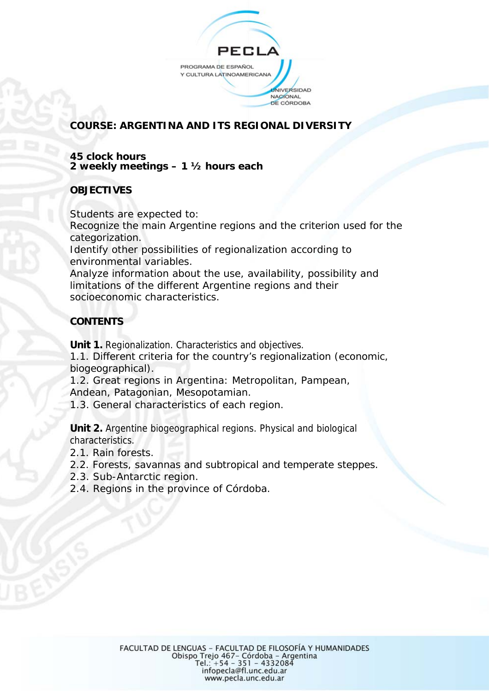

# **COURSE: ARGENTINA AND ITS REGIONAL DIVERSITY**

#### **45 clock hours 2 weekly meetings – 1 ½ hours each**

### **OBJECTIVES**

Students are expected to: Recognize the main Argentine regions and the criterion used for the categorization.

Identify other possibilities of regionalization according to environmental variables.

Analyze information about the use, availability, possibility and limitations of the different Argentine regions and their socioeconomic characteristics.

## **CONTENTS**

**Unit 1.** Regionalization. Characteristics and objectives.

1.1. Different criteria for the country's regionalization (economic, biogeographical).

1.2. Great regions in Argentina: Metropolitan, Pampean, Andean, Patagonian, Mesopotamian.

1.3. General characteristics of each region.

**Unit 2.** Argentine biogeographical regions. Physical and biological characteristics.

- 2.1. Rain forests.
- 2.2. Forests, savannas and subtropical and temperate steppes.
- 2.3. Sub-Antarctic region.
- 2.4. Regions in the province of Córdoba.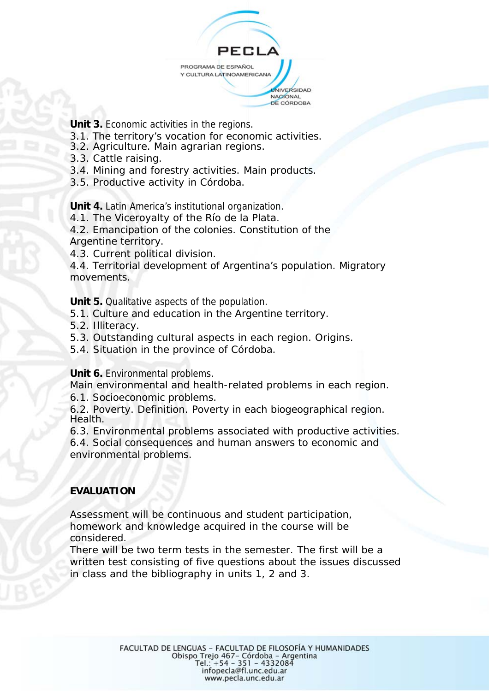

**Unit 3.** Economic activities in the regions.

- 3.1. The territory's vocation for economic activities.
- 3.2. Agriculture. Main agrarian regions.
- 3.3. Cattle raising.
- 3.4. Mining and forestry activities. Main products.
- 3.5. Productive activity in Córdoba.

**Unit 4.** Latin America's institutional organization.

4.1. The Viceroyalty of the *Río de la Plata*.

4.2. Emancipation of the colonies. Constitution of the Argentine territory.

4.3. Current political division.

4.4. Territorial development of Argentina's population. Migratory movements.

**Unit 5.** Qualitative aspects of the population.

5.1. Culture and education in the Argentine territory.

5.2. Illiteracy.

5.3. Outstanding cultural aspects in each region. Origins.

5.4. Situation in the province of Córdoba.

**Unit 6.** Environmental problems.

Main environmental and health-related problems in each region.

6.1. Socioeconomic problems.

6.2. Poverty. Definition. Poverty in each biogeographical region. Health.

6.3. Environmental problems associated with productive activities.

6.4. Social consequences and human answers to economic and environmental problems.

### **EVALUATION**

Assessment will be continuous and student participation, homework and knowledge acquired in the course will be considered.

There will be two term tests in the semester. The first will be a written test consisting of five questions about the issues discussed in class and the bibliography in units 1, 2 and 3.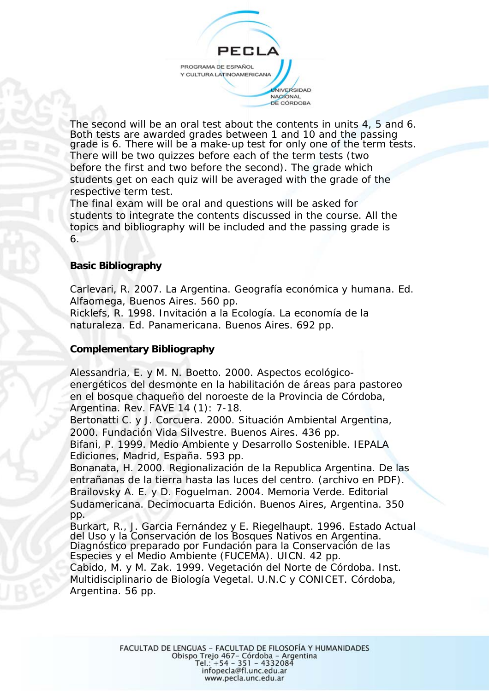PEC PROGRAMA DE ESPAÑOL Y CULTURA LATINOAMERICANA **JNIVERSIDAD** NACIONAL DE CÓRDOBA

The second will be an oral test about the contents in units 4, 5 and 6. Both tests are awarded grades between 1 and 10 and the passing grade is 6. There will be a make-up test for only one of the term tests. There will be two quizzes before each of the term tests (two before the first and two before the second). The grade which students get on each quiz will be averaged with the grade of the respective term test.

The final exam will be oral and questions will be asked for students to integrate the contents discussed in the course. All the topics and bibliography will be included and the passing grade is 6.

### **Basic Bibliography**

Carlevari, R. 2007. La Argentina. Geografía económica y humana. Ed. Alfaomega, Buenos Aires. 560 pp.

Ricklefs, R. 1998. Invitación a la Ecología. La economía de la naturaleza. Ed. Panamericana. Buenos Aires. 692 pp.

### **Complementary Bibliography**

Alessandria, E. y M. N. Boetto. 2000. Aspectos ecológicoenergéticos del desmonte en la habilitación de áreas para pastoreo en el bosque chaqueño del noroeste de la Provincia de Córdoba, Argentina. Rev. FAVE 14 (1): 7-18.

Bertonatti C. y J. Corcuera. 2000. Situación Ambiental Argentina, 2000. Fundación Vida Silvestre. Buenos Aires. 436 pp.

Bifani, P. 1999. Medio Ambiente y Desarrollo Sostenible. IEPALA Ediciones, Madrid, España. 593 pp.

Bonanata, H. 2000. Regionalización de la Republica Argentina. De las entrañanas de la tierra hasta las luces del centro. (archivo en PDF). Brailovsky A. E. y D. Foguelman. 2004. Memoria Verde. Editorial Sudamericana. Decimocuarta Edición. Buenos Aires, Argentina. 350 pp.

Burkart, R., J. Garcia Fernández y E. Riegelhaupt. 1996. Estado Actual del Uso y la Conservación de los Bosques Nativos en Argentina. Diagnóstico preparado por Fundación para la Conservación de las Especies y el Medio Ambiente (FUCEMA). UICN. 42 pp.

Cabido, M. y M. Zak. 1999. Vegetación del Norte de Córdoba. Inst. Multidisciplinario de Biología Vegetal. U.N.C y CONICET. Córdoba, Argentina. 56 pp.